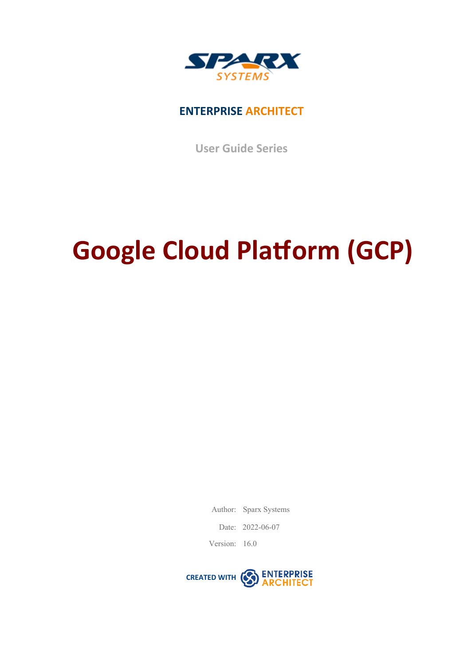

### **ENTERPRISE ARCHITECT**

**User Guide Series**

# **Google Cloud Platform (GCP)**

Author: Sparx Systems

Date: 2022-06-07

Version: 16.0

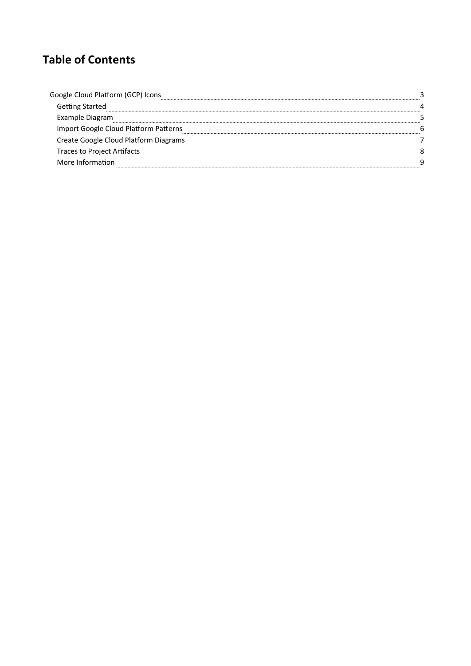## **Table of Contents**

| Google Cloud Platform (GCP) Icons     |  |
|---------------------------------------|--|
| Getting Started                       |  |
| Example Diagram                       |  |
| Import Google Cloud Platform Patterns |  |
| Create Google Cloud Platform Diagrams |  |
| Traces to Project Artifacts           |  |
| More Information                      |  |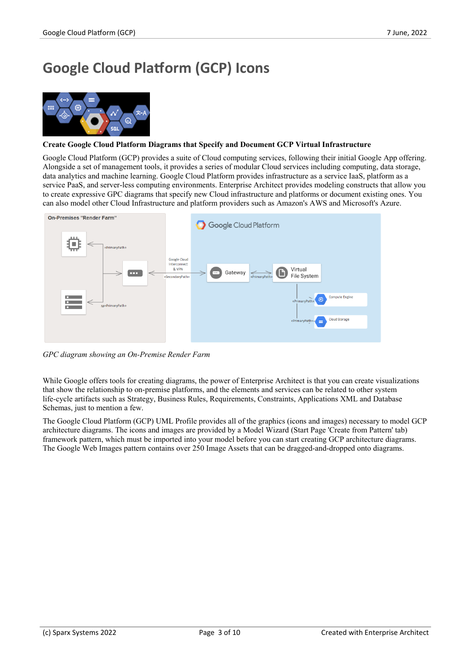## **Google Cloud Platform (GCP) Icons**



#### **Create Google Cloud Platform Diagrams that Specify and Document GCP Virtual Infrastructure**

Google Cloud Platform (GCP) provides a suite of Cloud computing services, following their initial Google App offering. Alongside a set of management tools, it provides a series of modular Cloud services including computing, data storage, data analytics and machine learning. Google Cloud Platform provides infrastructure as a service IaaS, platform as a service PaaS, and server-less computing environments. Enterprise Architect provides modeling constructs that allow you to create expressive GPC diagrams that specify new Cloud infrastructure and platforms or document existing ones. You can also model other Cloud Infrastructure and platform providers such as Amazon's AWS and Microsoft's Azure.



*GPC diagram showing an On-Premise Render Farm*

While Google offers tools for creating diagrams, the power of Enterprise Architect is that you can create visualizations that show the relationship to on-premise platforms, and the elements and services can be related to other system life-cycle artifacts such as Strategy, Business Rules, Requirements, Constraints, Applications XML and Database Schemas, just to mention a few.

The Google Cloud Platform (GCP) UML Profile provides all of the graphics (icons and images) necessary to model GCP architecture diagrams. The icons and images are provided by a Model Wizard (Start Page 'Create from Pattern' tab) framework pattern, which must be imported into your model before you can start creating GCP architecture diagrams. The Google Web Images pattern contains over 250 Image Assets that can be dragged-and-dropped onto diagrams.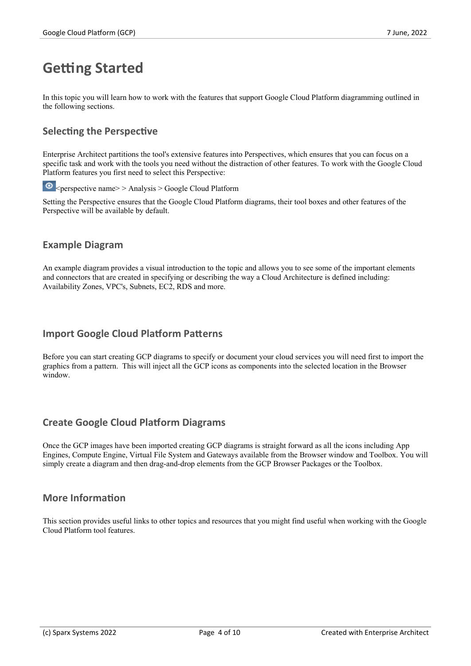## **Getting Started**

In this topic you will learn how to work with the features that support Google Cloud Platform diagramming outlined in the following sections.

#### **Selecting the Perspective**

Enterprise Architect partitions the tool's extensive features into Perspectives, which ensures that you can focus on a specific task and work with the tools you need without the distraction of other features. To work with the Google Cloud Platform features you first need to select this Perspective:

 $\bullet$  <perspective name> > Analysis > Google Cloud Platform

Setting the Perspective ensures that the Google Cloud Platform diagrams, their tool boxes and other features ofthe Perspective will be available by default.

#### **Example Diagram**

An example diagram provides a visual introduction to the topic and allows you to see some of the important elements and connectors that are created in specifying or describing the way a Cloud Architecture is defined including: Availability Zones, VPC's, Subnets, EC2, RDS and more.

#### **Import Google Cloud Platform Patterns**

Before you can start creating GCP diagrams to specify or document your cloud services you will need first to import the graphics from a pattern. This will inject all the GCP icons as components into the selected location in the Browser window.

#### **Create Google Cloud Platform Diagrams**

Once the GCP images have been imported creating GCP diagrams is straight forward as all the icons including App Engines, Compute Engine, Virtual File System and Gateways available from the Browser window and Toolbox. You will simply create a diagram and then drag-and-drop elements from the GCP Browser Packages or the Toolbox.

#### **More Information**

This section provides useful links to other topics and resources that you might find useful when working with the Google Cloud Platform tool features.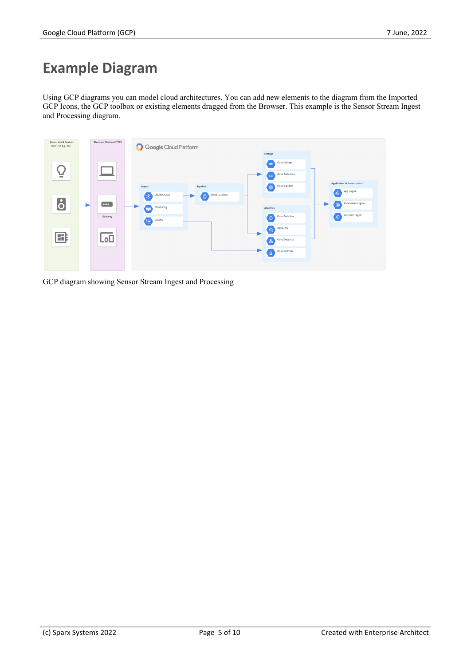## **Example Diagram**

Using GCP diagrams you can model cloud architectures. You can add new elements to the diagram from the Imported GCP Icons, the GCP toolbox or existing elements dragged from the Browser. This example is the Sensor Stream Ingest and Processing diagram.



GCP diagram showing Sensor Stream Ingest and Processing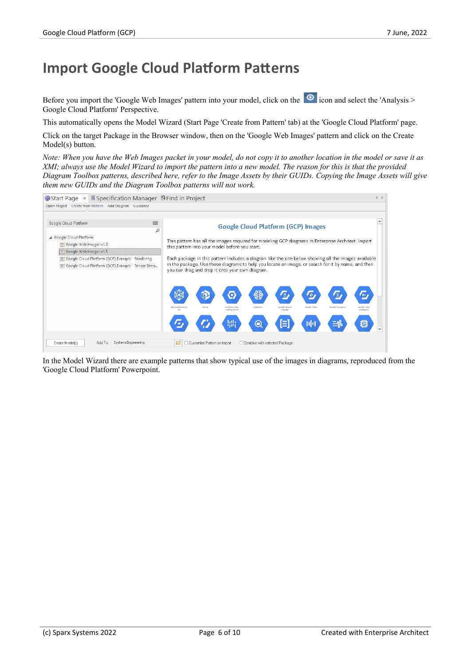## **Import Google Cloud Platform Patterns**

Before you import the 'Google Web Images' pattern into your model, click on the  $\circ$  icon and select the 'Analysis > Google Cloud Platform' Perspective.

This automatically opens the Model Wizard (Start Page 'Create from Pattern' tab) at the 'Google Cloud Platform' page.

Click on the target Package in the Browser window, then on the 'Google Web Images' pattern and click on the Create Model(s) button.

Note: When you have the Web Images packet in your model, do not copy it to another location in the model or save it as XMI; always use the Model Wizard to import the pattern into a new model. The reason for this is that the provided Diagram Toolbox patterns, described here, refer to the Image Assets by their GUIDs. Copying the Image Assets will give *them new GUIDs and the Diagram Toolbox patterns will not work.*

| $\circ$ Start Page $\times$ <b>E</b> Specification Manager <b>B</b> Find in Project                                                                                                                                                                                                                                                                                   |                                                                                                                                                      |                                                  |                               |                            |                |                    | 4 <sub>b</sub> |  |
|-----------------------------------------------------------------------------------------------------------------------------------------------------------------------------------------------------------------------------------------------------------------------------------------------------------------------------------------------------------------------|------------------------------------------------------------------------------------------------------------------------------------------------------|--------------------------------------------------|-------------------------------|----------------------------|----------------|--------------------|----------------|--|
| Open Project Create from Pattern Add Diagram Guidance                                                                                                                                                                                                                                                                                                                 |                                                                                                                                                      |                                                  |                               |                            |                |                    |                |  |
|                                                                                                                                                                                                                                                                                                                                                                       |                                                                                                                                                      |                                                  |                               |                            |                |                    |                |  |
| $\equiv$<br>Google Cloud Platform<br>م                                                                                                                                                                                                                                                                                                                                | <b>Google Cloud Platform (GCP) Images</b>                                                                                                            |                                                  |                               |                            |                |                    |                |  |
| Google Cloud Platform<br>Google Web Images v1.0<br>Google Web Images v1.5                                                                                                                                                                                                                                                                                             | This pattern has all the images required for modeling GCP diagrams in Enterprise Architect. Import<br>this pattern into your model before you start. |                                                  |                               |                            |                |                    |                |  |
| Each package in this pattern includes a diagram like the one below showing all the images available<br>Google Cloud Platform (GCP) Example - Rendering<br>in the package. Use these diagrams to help you locate an image, or search for it by name, and then<br>Google Cloud Platform (GCP) Example - Sensor Strea<br>you can drag and drop it onto your own diagram. |                                                                                                                                                      |                                                  |                               |                            |                |                    |                |  |
|                                                                                                                                                                                                                                                                                                                                                                       |                                                                                                                                                      |                                                  |                               | /≣,                        | A.             | /支                 | <b>BU</b>      |  |
|                                                                                                                                                                                                                                                                                                                                                                       | <b>Advanced Solutions</b><br>i sh                                                                                                                    | All Hulb<br>Al Platform Data<br>Labeling Service | All Platform                  | AutoML Natural<br>Language | AutoMIL Tables | AutoML Translation | Intelligence   |  |
|                                                                                                                                                                                                                                                                                                                                                                       |                                                                                                                                                      |                                                  | Θ                             | E                          | ПH             | ≘ll                |                |  |
| Add To:<br>SystemsEngineering<br>Create Model(s)                                                                                                                                                                                                                                                                                                                      |                                                                                                                                                      | Customize Pattern on import                      | Combine with selected Package |                            |                |                    |                |  |

In the Model Wizard there are example patterns that show typical use of the images in diagrams, reproduced from the 'Google Cloud Platform' Powerpoint.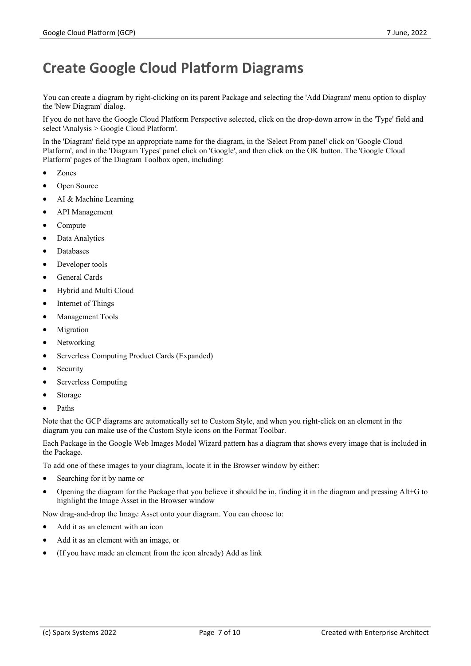## **Create Google Cloud Platform Diagrams**

You can create a diagram by right-clicking on its parent Package and selecting the 'Add Diagram' menu option to display the 'New Diagram' dialog.

If you do not have the Google Cloud Platform Perspective selected, click on the drop-down arrow in the 'Type' field and select 'Analysis > Google Cloud Platform'.

In the 'Diagram' field type an appropriate name for the diagram, in the 'Select From panel' click on 'Google Cloud Platform', and in the 'Diagram Types' panel click on 'Google', and then click on the OK button. The 'Google Cloud Platform' pages of the Diagram Toolbox open, including:

- · Zones
- Open Source
- AI & Machine Learning
- API Management
- · Compute
- Data Analytics
- **Databases**
- Developer tools
- General Cards
- Hybrid and Multi Cloud
- Internet of Things
- Management Tools
- **Migration**
- Networking
- Serverless Computing Product Cards (Expanded)
- **Security**
- Serverless Computing
- **Storage**
- · Paths

Note that the GCP diagrams are automatically set to Custom Style, and when you right-click on an element in the diagram you can make use of the Custom Style icons on the Format Toolbar.

Each Package in the Google Web Images Model Wizard pattern has a diagram that shows every image that is included in the Package.

To add one of these images to your diagram, locate it in the Browser window by either:

- Searching for it by name or
- Opening the diagram for the Package that you believe it should be in, finding it in the diagram and pressing Alt+G to highlight the Image Asset in the Browser window

Now drag-and-drop the Image Asset onto your diagram. You can choose to:

- Add it as an element with an icon
- Add it as an element with an image, or
- · (If you have made an element from the icon already) Add as link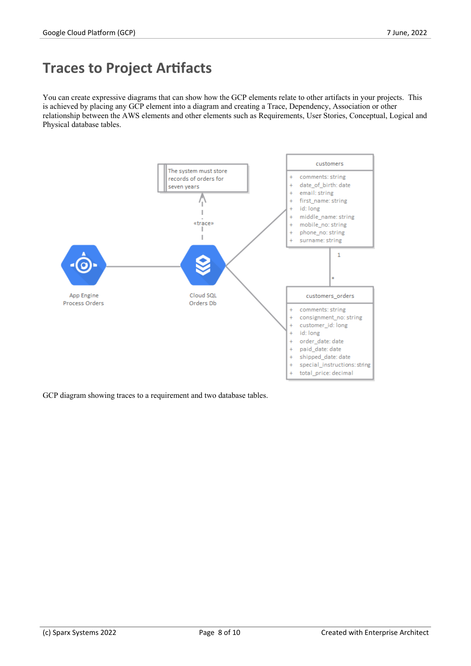## **Traces to Project Artifacts**

You can create expressive diagrams that can show how the GCP elements relate to other artifacts in your projects. This is achieved by placing any GCP element into a diagram and creating a Trace, Dependency, Association or other relationship between the AWS elements and other elements such as Requirements, User Stories, Conceptual, Logical and Physical database tables.



GCP diagram showing traces to a requirement and two database tables.